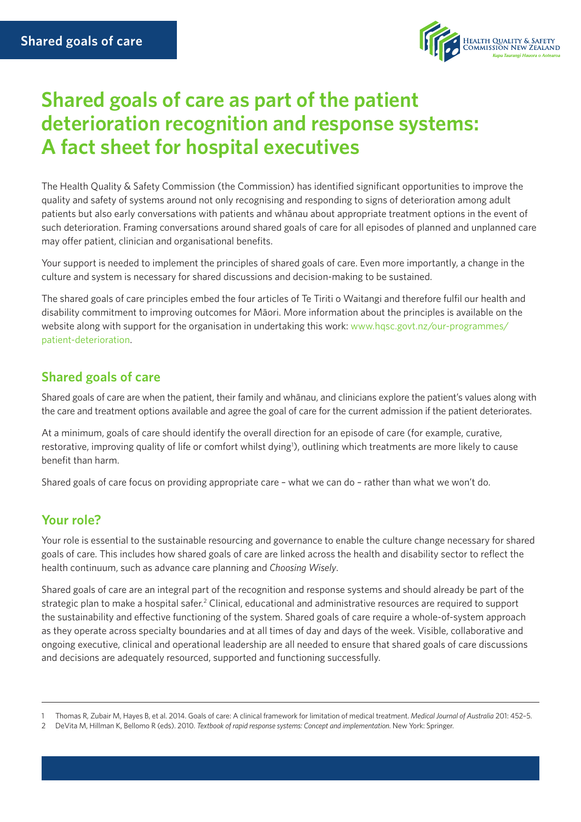

# **Shared goals of care as part of the patient deterioration recognition and response systems: A fact sheet for hospital executives**

The Health Quality & Safety Commission (the Commission) has identified significant opportunities to improve the quality and safety of systems around not only recognising and responding to signs of deterioration among adult patients but also early conversations with patients and whānau about appropriate treatment options in the event of such deterioration. Framing conversations around shared goals of care for all episodes of planned and unplanned care may offer patient, clinician and organisational benefits.

Your support is needed to implement the principles of shared goals of care. Even more importantly, a change in the culture and system is necessary for shared discussions and decision-making to be sustained.

The shared goals of care principles embed the four articles of Te Tiriti o Waitangi and therefore fulfil our health and disability commitment to improving outcomes for Māori. More information about the principles is available on the website along with support for the organisation in undertaking this work: [www.hqsc.govt.nz/our-programmes/](http://www.hqsc.govt.nz/our-programmes/patient-deterioration) [patient-deterioration](http://www.hqsc.govt.nz/our-programmes/patient-deterioration).

### **Shared goals of care**

Shared goals of care are when the patient, their family and whānau, and clinicians explore the patient's values along with the care and treatment options available and agree the goal of care for the current admission if the patient deteriorates.

At a minimum, goals of care should identify the overall direction for an episode of care (for example, curative, restorative, improving quality of life or comfort whilst dying<sup>1</sup>), outlining which treatments are more likely to cause benefit than harm.

Shared goals of care focus on providing appropriate care – what we can do – rather than what we won't do.

### **Your role?**

Your role is essential to the sustainable resourcing and governance to enable the culture change necessary for shared goals of care. This includes how shared goals of care are linked across the health and disability sector to reflect the health continuum, such as advance care planning and *Choosing Wisely*.

Shared goals of care are an integral part of the recognition and response systems and should already be part of the strategic plan to make a hospital safer.<sup>2</sup> Clinical, educational and administrative resources are required to support the sustainability and effective functioning of the system. Shared goals of care require a whole-of-system approach as they operate across specialty boundaries and at all times of day and days of the week. Visible, collaborative and ongoing executive, clinical and operational leadership are all needed to ensure that shared goals of care discussions and decisions are adequately resourced, supported and functioning successfully.

<sup>1</sup> Thomas R, Zubair M, Hayes B, et al. 2014. Goals of care: A clinical framework for limitation of medical treatment. *Medical Journal of Australia* 201: 452–5.

<sup>2</sup> DeVita M, Hillman K, Bellomo R (eds). 2010. *Textbook of rapid response systems: Concept and implementation.* New York: Springer.